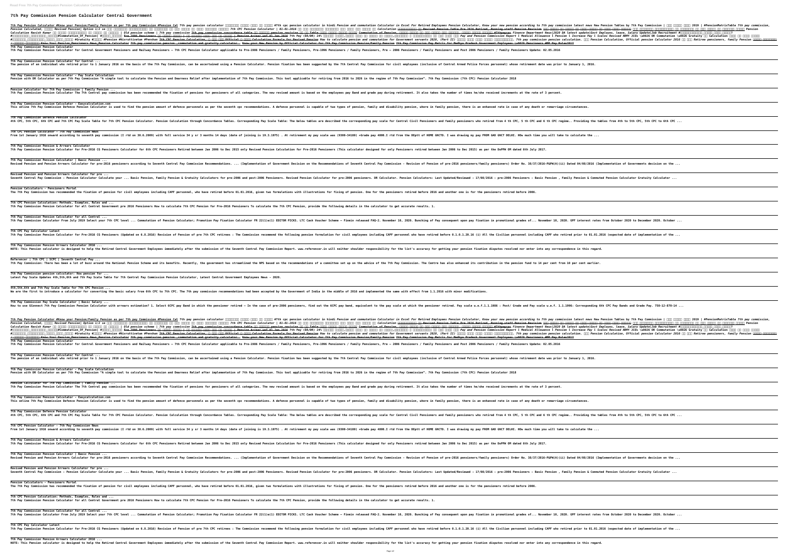**Read Free 7th Pay Commission Pension Calculator Central Government**

**7th Pay Commission Pension Calculator Central Government**

7th Pay Pension Calculator #Know your Pension/Family Pension as per 7th pay Commission #Pension Cal 7th pay pension calculator MMMMM MMMM #7th cpc pension calculator in hindi Pension and commutation Calculator in Excel For *Pension Calculated, जानिए Revised Pension। Option 1/2 se सभी केंद्रीय कर्मचारियों और पेंशनरों के लिए सरकार ने दिया जबरदस्त तोहफा। 7th CPC Pension Calculator | 01-01-2016 के बाद रिटायर्ड कर्मचारी एसे करें नयी पेंशन की Calculation* **पेंशनभोगियो की Revised Pension Table Pre 2016 Retired, Running staff Pension Revision सभी सैनिक की पेंशन को लेकर सरकार ने लिया बड़ा फैसला। सभी केंद्रीय कर्मचारियों और पेंशनरों के लिए सरकार का जबरदस्त ऐलान। Pension** calculation Ravish Kumar nn nnnnnnnnnnnn nn nnnnnn | 0ld pension scheme | 7th pay commission 7th pay commission 7th pay commission + evision nn nn nn Table nnnn nnnnn nnnnn nnnnn nnnnn Commutation of Pension, nnnn nnnn nn **#अंशराशीकरण\_काढण्याचे\_सूत्र।#Commutation\_Of\_Pension| #पेंशन\_विक्री Pre 2006 Pensioners की बल्ले बल्ले | अब मिलेगी बढ़ी हुई नई पेंशन | Pension Arrear wef 01 Jan 2016 7th Pay (DA/DR) 24% महंगाई भत्ता,एरियर देने पर सरकार का फैसला,पेंशनर्स व कर्मचारियों के लिए बड़ी खबर** *Pay and Pension Commission Report l Medical Allowance l Pension l Increase Pay l Scales Revised* **ARMY JCOs \u0026 OR Commutation \u0026 Gratuity को Calculation करने का आसान तरीका** #NONDON NONDON NONDON A HONORGO WELL ARELY AND THE CREATE SALLEY ARELY ARELY ARELY AND THE CREAT CONTRIGATION FOR THE CALCULATION FOR THE CALCULATION FOR NOW to calculate pension and commutation for Government serva **/ फॅमिली पेंशनर्स Know Your Pension\_Pensioners News\_Pension Calculator 7th pay commission pension ,commutation and gratuity calculator . Know your New Pension by Official Calculator for 7th Pay Commission Pension/Family Pension 7th Pay Commission Pay Matrix for Madhya Pradesh Government Employees \u0026 Pensioners #MP Pay Rules2017 7th Pay Commission Pension Calculator** 7th Pay Commission Pension Calculator for Central Government Pensioners and Railway Pensioners – 7th CPC Pensioners / Family Pensioners / Family Pensioners / Family Pensioners / Family Pensioners, Pre – 2006 Pensioners / **7th Pay Commission Pension Calculator for Central ...** The pension of an individual who retired prior to 1 January 2016 on the basis of the 7th Pay Commission, can be ascertained using a Pension fixation has been suggested by the 7th Central Pay Commission for civil employees **7th Pay Commission Pension Calculator - Pay Scale Calculation** Pension with DR Calculator as per 7th Pay Commission "A simple tool to calculate the Pension and Dearness Relief after implementation of 7th Pay Commission. This tool applicable for retiring from 2016 to 2026 in the regime **Pension Calculator for 7th Pay Commission | Family Pension ...** 7th Pay Commission Pension Calculator The 7th Central pay commission has been recommended the fixation of pensioners of all categories. The new revised amount is based on the employees pay Band and grade pay during retirem **7th Pay Commission Pension Calculator - Easycalculation.com** This online 7th Pay Commission Defence Pension Calculator is used to find the pension amount of defence personnels as per the seventh cpc recommendations. A defence personnel is capable of two types of pension, family and **7th Pay Commission Defence Pension Calculator** 4th CPC, 5th CPC and 7th CPC Pay Scale Table for 7th CPC Pension Calculator. Pension Calculation through Concordance Tables. Corresponding Pay Scale Table: The below tables are described the corresponding pay scale for Cen **7th CPC Pension Calculator - 7th Pay Commission News** From 1st January 1916 onward according to seventh pay commission (I rtd on 30.6.2009) with full service 34 y sr 3 months 14 days (date of joining is 19.3.1975) . At retirement my pay scale was (9300-34180) +Grade pay 4800. **7th Pay Commission Pension & Arrears Calculator** 7th Pay Commission Pension Calculator for Pre-2016 CG Pensioners Calculator for 6th CPC Pensioners Retired between Jan 2006 to Dec 2015 only Revised Pension for Pre-2016 Pensioners (This calculator designed for only Pensio **7th Pay Commission Pension Calculator | Basic Pension ...** Revised Pension and Pension Arrears Calculator for pre-2016 pensioners according to Seventh Central Pay Commission Recommendations. ... (Implementation of Government Decision on the Recommendations of Seventh Central Pay C **Revised Pension and Pension Arrears Calculator for pre ...** Seventh Central Pay Commission : Pension Calculator Calculate your ... Basic Pension, Family Pension & Gratuity Calculators for pre-2006 Pensioners. Revised Pension Calculator for pre-2006 pensioners. DR Calculator. Pensio **Pension Calculators - Pensioners Portal** The 7th Pay Commission has recommended the fixation of pension for civil employees including CAPF personnel, who have retired before 01.01.2016, given two formulations with illustrations for fixing of pension. One for the **7th CPC Pension Calculation: Methods, Examples, Rules and ...** 7th Pay Commission Pension Calculator for all Central Government pre 2016 Pensioners How to calculate 7th CPC Pensioners To calculate the 7th CPC Pension, provide the following details in the calculator to get accurate res **7th Pay Commission Pension Calculator for all Central ...** 7th Pay Commission Calculator From July 2019 Select your 7th CPC level ... Commutation of Pension Calculator; Promotion Pay Fixation Calculator FR 22(1)a(1) EDITOR PICKS. LTC Cash Voucher Scheme - Finmin released FAQ-2. No **7th CPC Pay Calculator Latest** 7th Pay Commission Pension Calculator for Pre-2016 CG Pensioners (Updated on 6.8.2016) Revision of Pension of Pension of Pension recommend the following pension formulation for civil emplovees including CAPF personnel who **7th Pay Commission Pension Arrears Calculator 2016 ...** NOTE: This Pension calculator is designed to help the Retired Central Government Employees immediately after the submission of the Seventh Central Pay Commission Report. www.referencer.in will neither shoulder responsibili **Referencer | 7th CPC | SCPC | Seventh Central Pay ...** 7th Pay Commission: There has been a lot of buzz around the National Pension Scheme and its benefits. Recently, the government has streamlined the NPS based on the recommendations of a committee set up on the advice of the **7th Pay Commission pension calculator: How pension for ... Latest Pay Scale Updates 4th,5th,6th and 7th Pay Scale Table for 7th Central Pay Commission Pension Calculator, Latest Central Government Employees News - 2020. 4th,5th,6th and 7th Pay Scale Table for 7th CPC Pension ...** We are the first to introduce a calculator for converting the basic salary from 6th CPC to 7th CPC. The 7th pay commission recommendations had been accepted by the Government of India in the middle of 2016 and implemented **7th Pay Commission Pay Scale Calculator | Basic Salary ...** How to use GConnect 7th Pay Commission Pension Calculator with arrears estimation? 1. Select 6CPC pay Band in which the pensioner retired - In the case of pre-2006 pensioners, find out the 6CPC pay band, equivalent to the 7th Pay Pension Calculator #Know your Pension/Family Pension as per 7th pay Commission #Pension Cal 7th pay pension calculator 10000 0000 0000 #7th cpc pension calculator in hindi Pension and commutation Calculator in Exce *Pension Calculated, जानिए Revised Pension। Option 1/2 se सभी केंद्रीय कर्मचारियों और पेंशनरों के लिए सरकार ने दिया जबरदस्त तोहफा। 7th CPC Pension Calculator | 01-01-2016 के बाद रिटायर्ड कर्मचारी एसे करें नयी पेंशन की Calculation* **पेंशनभोगियो की Revised Pension Table Pre 2016 Retired, Running staff Pension Revision सभी सैनिक की पेंशन को लेकर सरकार ने लिया बड़ा फैसला। सभी केंद्रीय कर्मचारियों और पेंशनरों के लिए सरकार का जबरदस्त ऐलान। Pension Calculation** *Ravish Kumar ने उठाया कर्मचारियों के पेंशन का मुद्दा | Old pension scheme | 7th pay commission* **7th pay commission concordance table के अनुसार pension revision की नई Table जारी जानिए कितनी पेंशन Commutation of Pension, पेंशन बेचने के बाद कितना रकम मिलेगा, कितनी पेंशन मिलेगी #7thpaycpc** *Finance Department News|2020 DA latest update|Govt Employes, leave, Salary Update|Job Recruitment* **#अंशराशीकरणाची\_रक्कम\_किती\_मिळेल? #अंशराशीकरण\_काढण्याचे\_सूत्र।#Commutation\_Of\_Pension| #पेंशन\_विक्री Pre 2006 Pensioners की बल्ले बल्ले | अब मिलेगी बढ़ी हुई नई पेंशन | Pension Arrear wef 01 Jan 2016 7th Pay (DA/DR) 24% महंगाई भत्ता,एरियर देने पर सरकार का फैसला,पेंशनर्स व कर्मचारियों के लिए बड़ी खबर** *Pay and Pension Commission Report l Medical Allowance l Pension l Increase Pay l Scales Revised* **ARMY JCOs \u0026 OR Commutation \u0026 Gratuity को Calculation करने का आसान तरीका** #NONDON NONDON NONDON A HONO ART ART ART ART ART THE CPC Pension #Nivruttivetan #Penshan 7th CPC Pension, A NAN Official A NAN Calculation Formula for Revised Pension How to calculate pension and commutation for Government A HUNTHULLLLL Know Your Pension Pensioners News Pension Calculator 7th pay commission pension , commutation and gratuity calculator. Know your New Pension by Official Calculator for 7th Pay Commission Pension/Family Pensio **7th Pay Commission Pension Calculator** 7th Pay Commission Pension Calculator for Central Government Pensioners and Railway Pensioners – 7th CPC Pensioners / Family Pensioners / Family Pensioners / Family Pensioners, Pre – 2006 Pensioners / 7th Pay Commission Pe **7th Pay Commission Pension Calculator for Central ...** The pension of an individual who retired prior to 1 January 2016 on the basis of the 7th Pay Commission, can be ascertained using a Pension fixation has been suggested by the 7th Central Pay Commission for civil employees **7th Pay Commission Pension Calculator - Pay Scale Calculation** Pension with DR Calculator as per 7th Pay Commission "A simple tool to calculate the Pension and Dearness Relief after implementation of 7th Pay Commission. This tool applicable for retiring from 2016 to 2026 in the regime **Pension Calculator for 7th Pay Commission | Family Pension ...** 7th Pay Commission Pension Calculator The 7th Central pay commission has been recommended the fixation of pensioners of all categories. The new revised amount is based on the emplovees pay Band and grade pay during retirem **7th Pay Commission Pension Calculator - Easycalculation.com** This online 7th Pay Commission Defence Pension Calculator is used to find the pension amount of defence personnels as per the seventh cpc recommendations. A defence personnel is capable of two types of pension, family and **7th Pay Commission Defence Pension Calculator** 4th CPC, 5th CPC and 7th CPC Pay Scale Table for 7th CPC Pension Calculator. Pension Calculation through Concordance Tables. Corresponding Pay Scale Table: The below tables are described the corresponding pay scale for Cen **7th CPC Pension Calculator - 7th Pay Commission News** From 1st January 1916 onward according to seventh pay commission (I rtd on 30.6.2009) with full service 34 y sr 3 months 14 days (date of joining is 19.3.1975) . At retirement my pay scale was (9300-34180) +Grade pay 4800. **7th Pay Commission Pension & Arrears Calculator** 7th Pay Commission Pension Calculator for Pre-2016 CG Pensioners Calculator for 6th CPC Pensioners Retired between Jan 2006 to Dec 2015 only Revised Pension for Pre-2016 Pensioners (This calculator designed for only Pensio **7th Pay Commission Pension Calculator | Basic Pension ...** Revised Pension and Pension Arrears Calculator for pre-2016 pensioners according to Seventh Central Pav Commission Recommendations. ... (Implementation of Government Decision on the Recommendations of Seventh Central Pav C **Revised Pension and Pension Arrears Calculator for pre ...** Seventh Central Pay Commission : Pension Calculator Calculate your ... Basic Pension, Family Pension & Gratuity Calculators for pre-2006 Pensioners. Revised Pension Calculator for pre-2006 pensioners. DR Calculator. Pensio **Pension Calculators - Pensioners Portal** The 7th Pay Commission has recommended the fixation of pension for civil employees including CAPF personnel, who have retired before 01.01.2016, given two formulations with illustrations for fixing of pension. One for the **7th CPC Pension Calculation: Methods, Examples, Rules and ...** 7th Pay Commission Pension Calculator for all Central Government pre 2016 Pensioners How to calculate 7th CPC Pensioners To calculate the 7th CPC Pension, provide the following details in the calculator to get accurate res **7th Pay Commission Pension Calculator for all Central ...** 7th Pay Commission Calculator From July 2019 Select your 7th CPC level ... Commutation of Pension Calculator; Promotion Pay Fixation Calculator FR 22(1)a(1) EDITOR PICKS. LTC Cash Voucher Scheme - Finmin released FAQ-2. No **7th CPC Pay Calculator Latest** 7th Pay Commission Pension Calculator for Pre-2016 CG Pensioners (Updated on 6.8.2016) Revision of Pension of Pension of Pension of Pension of Pension of Pension of Pre 7th CPC retirees : The Commission recommend the follo **7th Pay Commission Pension Arrears Calculator 2016 ...** NOTE: This Pension calculator is designed to help the Retired Central Government Employees immediately after the submission of the Seventh Central Pay Commission Report. www.referencer.in will neither shoulder responsibili

| tired Employees Pension Calculator, Know your new pension according to 7th pay commission latest news New Pension Tables by 7<br><del>] OOO OOOOO OOO OOOOOO, OOOOO OOOOOO #7thpaycpc</del> Finance Department News 2020 DA latest update Govt Employes, leave, Sal<br>$\Box\Box\Box\Box\Box\Box\Box\Box\Box\Box\Box$ Pay and Pension Commission Report l Medical Allowance l Pension l Increase Pay l Scales Revised ARMY J<br>$\,$ ants 2020, (Part II) <code>[][][]</code> <code>[][][]] <code>[][][][][][][][][]]]]]]]. 7th pay commission pension calculation. [][] Pension Calculation, Offi</code></code><br>ion Pay Matrix for Madhya Pradesh Government Employees \u0026 Pensioners #MP Pay Rules2017                                                     |
|--------------------------------------------------------------------------------------------------------------------------------------------------------------------------------------------------------------------------------------------------------------------------------------------------------------------------------------------------------------------------------------------------------------------------------------------------------------------------------------------------------------------------------------------------------------------------------------------------------------------------------------------------------------------------------------------------------------------------------------------------------------------|
| Family Pensioners and Post 2006 Pensioners / Family Pensioners Update: 02.05.2016                                                                                                                                                                                                                                                                                                                                                                                                                                                                                                                                                                                                                                                                                  |
| inclusive of Central Armed Police Forces personnel) whose retirement date was prior to January 1, 2016.                                                                                                                                                                                                                                                                                                                                                                                                                                                                                                                                                                                                                                                            |
| 1". 7th Pay Commission (7th CPC) Pension Calculator 2018                                                                                                                                                                                                                                                                                                                                                                                                                                                                                                                                                                                                                                                                                                           |
| also takes the number of times he/she received increments at the rate of 3 percent.                                                                                                                                                                                                                                                                                                                                                                                                                                                                                                                                                                                                                                                                                |
| ere in family pension, there is an enhanced rate in case of any death or remarriage circumstances.                                                                                                                                                                                                                                                                                                                                                                                                                                                                                                                                                                                                                                                                 |
| ensioners and family pensioners who retired from 4 th CPC, 5 th CPC and 6 th CPC regime Providing the tables from 4th to 5t                                                                                                                                                                                                                                                                                                                                                                                                                                                                                                                                                                                                                                        |
| of HOME GNCTD. I was drawing my pay FROM GAD GNCT DELHI. HOw much time you will take to calculate the                                                                                                                                                                                                                                                                                                                                                                                                                                                                                                                                                                                                                                                              |
| ed between Jan 2006 to Dec 2015) as per the DoPPW OM dated 6th July 2017.                                                                                                                                                                                                                                                                                                                                                                                                                                                                                                                                                                                                                                                                                          |
| of Pension of pre-2016 pensioners/family pensioners) Order No. 38/37/2016-P&PW(A)(ii) Dated 04/08/2016 (Implementation of Gov                                                                                                                                                                                                                                                                                                                                                                                                                                                                                                                                                                                                                                      |
| lators: Last Updated/Reviewed : 17/08/2016 : pre-2006 Pensioners : Basic Pension , Family Pension & Commuted Pension Calculat                                                                                                                                                                                                                                                                                                                                                                                                                                                                                                                                                                                                                                      |
| fore 2016 and another one is for the pensioners retired before 2006.                                                                                                                                                                                                                                                                                                                                                                                                                                                                                                                                                                                                                                                                                               |
| ılts. 1.                                                                                                                                                                                                                                                                                                                                                                                                                                                                                                                                                                                                                                                                                                                                                           |
| ing of Pay consequent upon pay fixation in promotional grades of November 10, 2020. GPF interest rates from October 2020                                                                                                                                                                                                                                                                                                                                                                                                                                                                                                                                                                                                                                           |
| e retired before 0.1.0.1.20.16 (i) All the Civilian personnel including CAPF who retired prior to 01.01.2016 (expected date/                                                                                                                                                                                                                                                                                                                                                                                                                                                                                                                                                                                                                                       |
| ıracy for getting your pension fixation disputes resolved nor enter into any correspondence in this regard.                                                                                                                                                                                                                                                                                                                                                                                                                                                                                                                                                                                                                                                        |
| The Centre has also enhanced its contribution in the pension fund to 14 per cent from 10 per cent earlier.                                                                                                                                                                                                                                                                                                                                                                                                                                                                                                                                                                                                                                                         |
|                                                                                                                                                                                                                                                                                                                                                                                                                                                                                                                                                                                                                                                                                                                                                                    |
| ${\small\textsf{from 1.1.2016 with minor modifications.}}$                                                                                                                                                                                                                                                                                                                                                                                                                                                                                                                                                                                                                                                                                                         |
| e pensioner retired. Pay scale w.e.f.1.1.1986 : Post/ Grade and Pay scale w.e.f. 1.1.1996: Corresponding 6th CPC Pay Bands an فاء pensional An                                                                                                                                                                                                                                                                                                                                                                                                                                                                                                                                                                                                                     |
| tired Employees Pension Calculator, Know your new pension according to 7th pay commission latest news New Pension Tables by 7<br><del>] OOO OOOOO OOO OOOOOO, OOOOO OOOOO #7thpaycpc</del> Finance Department News 2020 DA latest update Govt Employes, leave, Sal<br>$\square\square\square\square\square\square\square\square\square\square\square\square$ Pay and Pension Commission Report l Medical Allowance l Pension l Increase Pay l Scales Revised <code>ARMY J</code><br>$\,$ ants 2020, (Part II) <code>[][][]</code> <code>[][][]] <code>[][][][][][][][][]]]]]]]. 7th pay commission pension calculation. [][] Pension Calculation, Offi</code></code><br>ion Pay Matrix for Madhya Pradesh Government Employees \u0026 Pensioners #MP Pay Rules2017 |
| Family Pensioners and Post 2006 Pensioners / Family Pensioners Update: 02.05.2016                                                                                                                                                                                                                                                                                                                                                                                                                                                                                                                                                                                                                                                                                  |
| inclusive of Central Armed Police Forces personnel) whose retirement date was prior to January 1, 2016.                                                                                                                                                                                                                                                                                                                                                                                                                                                                                                                                                                                                                                                            |
| 1". 7th Pay Commission (7th CPC) Pension Calculator 2018                                                                                                                                                                                                                                                                                                                                                                                                                                                                                                                                                                                                                                                                                                           |
|                                                                                                                                                                                                                                                                                                                                                                                                                                                                                                                                                                                                                                                                                                                                                                    |
| also takes the number of times he/she received increments at the rate of 3 percent.                                                                                                                                                                                                                                                                                                                                                                                                                                                                                                                                                                                                                                                                                |
| ere in family pension, there is an enhanced rate in case of any death or remarriage circumstances.                                                                                                                                                                                                                                                                                                                                                                                                                                                                                                                                                                                                                                                                 |
| ensioners and family pensioners who retired from 4 th CPC, 5 th CPC and 6 th CPC regime Providing the tables from 4th to 5t                                                                                                                                                                                                                                                                                                                                                                                                                                                                                                                                                                                                                                        |
| of HOME GNCTD. I was drawing my pay FROM GAD GNCT DELHI. HOw much time you will take to calculate the                                                                                                                                                                                                                                                                                                                                                                                                                                                                                                                                                                                                                                                              |
| ed between Jan 2006 to Dec 2015) as per the DoPPW OM dated 6th July 2017.                                                                                                                                                                                                                                                                                                                                                                                                                                                                                                                                                                                                                                                                                          |
| of Pension of pre-2016 pensioners/family pensioners) Order No. 38/37/2016-P&PW(A)(ii) Dated 04/08/2016 (Implementation of Gov                                                                                                                                                                                                                                                                                                                                                                                                                                                                                                                                                                                                                                      |
| lators: Last Updated/Reviewed : 17/08/2016 : pre-2006 Pensioners : Basic Pension , Family Pension & Commuted Pension Calculat                                                                                                                                                                                                                                                                                                                                                                                                                                                                                                                                                                                                                                      |
| fore 2016 and another one is for the pensioners retired before 2006.                                                                                                                                                                                                                                                                                                                                                                                                                                                                                                                                                                                                                                                                                               |
| ılts. 1.                                                                                                                                                                                                                                                                                                                                                                                                                                                                                                                                                                                                                                                                                                                                                           |
| ing of Pay consequent upon pay fixation in promotional grades of November 10, 2020. GPF interest rates from October 2020                                                                                                                                                                                                                                                                                                                                                                                                                                                                                                                                                                                                                                           |
| e retired before 0.1.0.1.20.16 (i) All the Civilian personnel including CAPF who retired prior to 01.01.2016 (expected date/                                                                                                                                                                                                                                                                                                                                                                                                                                                                                                                                                                                                                                       |

| 7th Pay Commission   000 0000 0000 2019   #PensionMatrixTable 7th pay commission,<br>an and an announced to announce an and announced an announced and reasion<br>lary Update   Job Recruitment #0000000000000_00000_0000_00000?<br>JCOs \u0026 OR Commutation \u0026 Gratuity II Calculation IIIII II IIIII IIIIIII<br>$\left  \right.$ icial pension Calculator 2016 $\left  \right  \right $ $\left  \right $ Retiree pensioners, family Pension $\left  \right  \right $ |
|------------------------------------------------------------------------------------------------------------------------------------------------------------------------------------------------------------------------------------------------------------------------------------------------------------------------------------------------------------------------------------------------------------------------------------------------------------------------------|
|                                                                                                                                                                                                                                                                                                                                                                                                                                                                              |
|                                                                                                                                                                                                                                                                                                                                                                                                                                                                              |
| th CPC, 5th CPC to 6th CPC                                                                                                                                                                                                                                                                                                                                                                                                                                                   |
|                                                                                                                                                                                                                                                                                                                                                                                                                                                                              |
| vernments decision on the                                                                                                                                                                                                                                                                                                                                                                                                                                                    |
| tor Gratuity Calculator                                                                                                                                                                                                                                                                                                                                                                                                                                                      |
| to December 2020. October                                                                                                                                                                                                                                                                                                                                                                                                                                                    |
| of implementation of the                                                                                                                                                                                                                                                                                                                                                                                                                                                     |
|                                                                                                                                                                                                                                                                                                                                                                                                                                                                              |
|                                                                                                                                                                                                                                                                                                                                                                                                                                                                              |
| nd Grade Pay. 750-12-870-14<br>7th Pay Commission   000 0000 0000 2019   #PensionMatrixTable 7th pay commission,                                                                                                                                                                                                                                                                                                                                                             |
| lary Update   Job Recruitment #00000000000000000000000000000000?<br>JCOs \u0026 OR Commutation \u0026 Gratuity $\Box\Box$ Calculation $\Box\Box\Box\Box$ $\Box\Box\Box\Box$<br>$\,$ icial pension Calculator 2016 $\Box\Box$ $\Box\Box\Box$ Retiree pensioners, family Pension $\overline {\rm HIHH}$ $\overline {\rm HIHH}$                                                                                                                                                 |
|                                                                                                                                                                                                                                                                                                                                                                                                                                                                              |
|                                                                                                                                                                                                                                                                                                                                                                                                                                                                              |
| th CPC, 5th CPC to 6th CPC                                                                                                                                                                                                                                                                                                                                                                                                                                                   |
|                                                                                                                                                                                                                                                                                                                                                                                                                                                                              |
| vernments decision on the                                                                                                                                                                                                                                                                                                                                                                                                                                                    |
| tor Gratuity Calculator                                                                                                                                                                                                                                                                                                                                                                                                                                                      |
|                                                                                                                                                                                                                                                                                                                                                                                                                                                                              |
| to December 2020. October<br>af imalamantatian af tha                                                                                                                                                                                                                                                                                                                                                                                                                        |